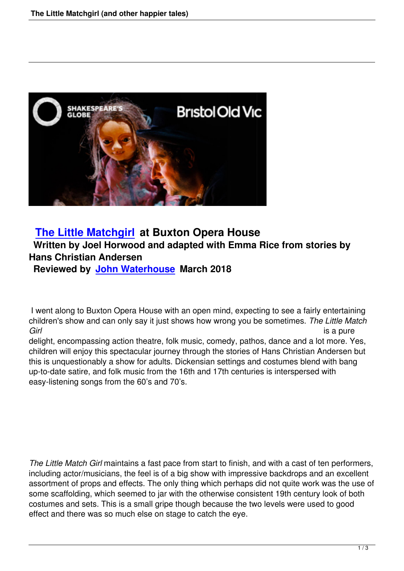

# **The Little Matchgirl at Buxton Opera House Written by Joel Horwood and adapted with Emma Rice from stories by Hans Christian Andersen**

**[Reviewed by John Wa](the-little-matchgirl-buxton-opera-house.html)terhouse March 2018**

 I went along to B[uxton Opera House with](writers.html#john-waterhouse) an open mind, expecting to see a fairly entertaining children's show and can only say it just shows how wrong you be sometimes. *The Little Match Girl* is a pure

delight, encompassing action theatre, folk music, comedy, pathos, dance and a lot more. Yes, children will enjoy this spectacular journey through the stories of Hans Christian Andersen but this is unquestionably a show for adults. Dickensian settings and costumes blend with bang up-to-date satire, and folk music from the 16th and 17th centuries is interspersed with easy-listening songs from the 60's and 70's.

*The Little Match Girl* maintains a fast pace from start to finish, and with a cast of ten performers, including actor/musicians, the feel is of a big show with impressive backdrops and an excellent assortment of props and effects. The only thing which perhaps did not quite work was the use of some scaffolding, which seemed to jar with the otherwise consistent 19th century look of both costumes and sets. This is a small gripe though because the two levels were used to good effect and there was so much else on stage to catch the eye.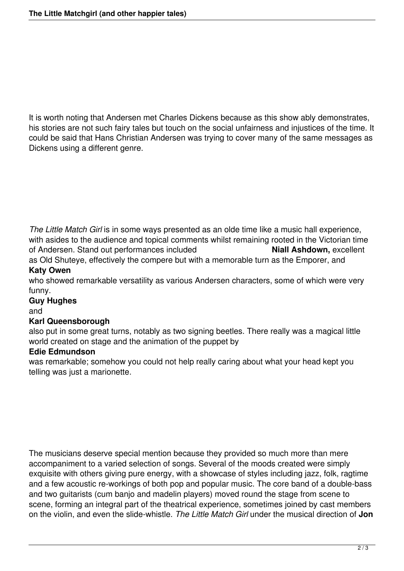It is worth noting that Andersen met Charles Dickens because as this show ably demonstrates, his stories are not such fairy tales but touch on the social unfairness and injustices of the time. It could be said that Hans Christian Andersen was trying to cover many of the same messages as Dickens using a different genre.

*The Little Match Girl* is in some ways presented as an olde time like a music hall experience, with asides to the audience and topical comments whilst remaining rooted in the Victorian time<br>of Andersen. Stand out performances included **Night Ashdown**, excellent of Andersen. Stand out performances included as Old Shuteye, effectively the compere but with a memorable turn as the Emporer, and **Katy Owen**

who showed remarkable versatility as various Andersen characters, some of which were very funny.

### **Guy Hughes**

and

#### **Karl Queensborough**

also put in some great turns, notably as two signing beetles. There really was a magical little world created on stage and the animation of the puppet by

#### **Edie Edmundson**

was remarkable; somehow you could not help really caring about what your head kept you telling was just a marionette.

The musicians deserve special mention because they provided so much more than mere accompaniment to a varied selection of songs. Several of the moods created were simply exquisite with others giving pure energy, with a showcase of styles including jazz, folk, ragtime and a few acoustic re-workings of both pop and popular music. The core band of a double-bass and two guitarists (cum banjo and madelin players) moved round the stage from scene to scene, forming an integral part of the theatrical experience, sometimes joined by cast members on the violin, and even the slide-whistle. *The Little Match Girl* under the musical direction of **Jon**